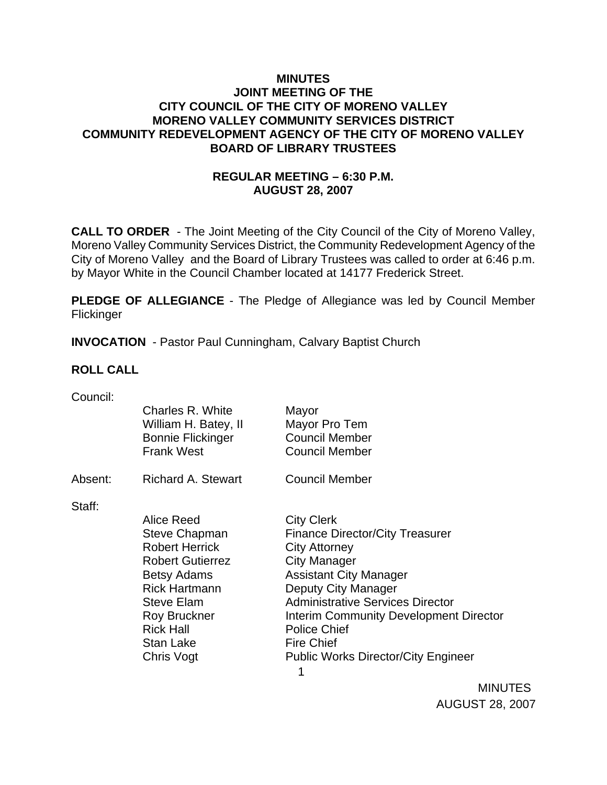### **MINUTES JOINT MEETING OF THE CITY COUNCIL OF THE CITY OF MORENO VALLEY MORENO VALLEY COMMUNITY SERVICES DISTRICT COMMUNITY REDEVELOPMENT AGENCY OF THE CITY OF MORENO VALLEY BOARD OF LIBRARY TRUSTEES**

# **REGULAR MEETING – 6:30 P.M. AUGUST 28, 2007**

**CALL TO ORDER** - The Joint Meeting of the City Council of the City of Moreno Valley, Moreno Valley Community Services District, the Community Redevelopment Agency of the City of Moreno Valley and the Board of Library Trustees was called to order at 6:46 p.m. by Mayor White in the Council Chamber located at 14177 Frederick Street.

**PLEDGE OF ALLEGIANCE** - The Pledge of Allegiance was led by Council Member **Flickinger** 

**INVOCATION** - Pastor Paul Cunningham, Calvary Baptist Church

### **ROLL CALL**

| Council: | Charles R. White<br>William H. Batey, II<br><b>Bonnie Flickinger</b><br><b>Frank West</b>                                                                                                                                | Mayor<br>Mayor Pro Tem<br><b>Council Member</b><br><b>Council Member</b>                                                                                                                                                                                                                                                                               |
|----------|--------------------------------------------------------------------------------------------------------------------------------------------------------------------------------------------------------------------------|--------------------------------------------------------------------------------------------------------------------------------------------------------------------------------------------------------------------------------------------------------------------------------------------------------------------------------------------------------|
| Absent:  | Richard A. Stewart                                                                                                                                                                                                       | <b>Council Member</b>                                                                                                                                                                                                                                                                                                                                  |
| Staff:   | Alice Reed<br><b>Steve Chapman</b><br><b>Robert Herrick</b><br><b>Robert Gutierrez</b><br><b>Betsy Adams</b><br><b>Rick Hartmann</b><br><b>Steve Elam</b><br>Roy Bruckner<br><b>Rick Hall</b><br>Stan Lake<br>Chris Vogt | <b>City Clerk</b><br><b>Finance Director/City Treasurer</b><br><b>City Attorney</b><br>City Manager<br><b>Assistant City Manager</b><br>Deputy City Manager<br><b>Administrative Services Director</b><br><b>Interim Community Development Director</b><br><b>Police Chief</b><br><b>Fire Chief</b><br><b>Public Works Director/City Engineer</b><br>1 |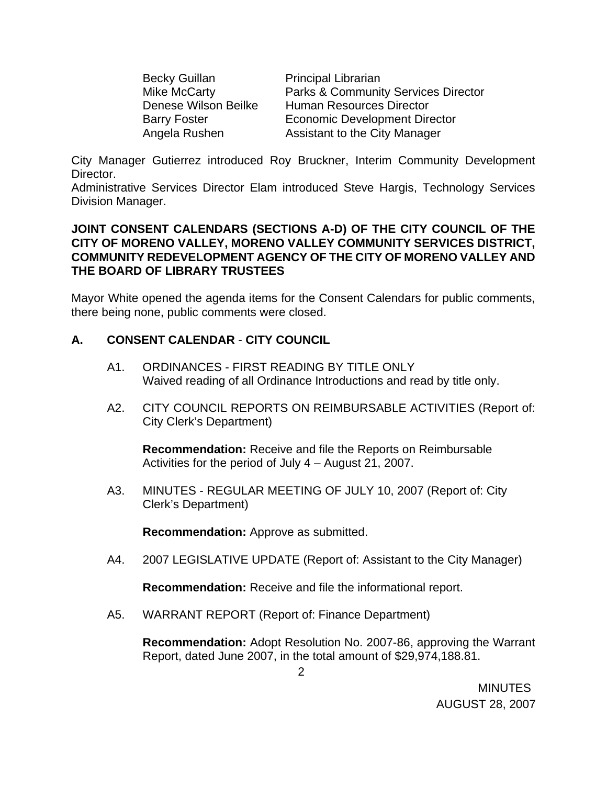Becky Guillan **Principal Librarian** 

Mike McCarty **Parks & Community Services Director** Denese Wilson Beilke Human Resources Director Barry Foster **Economic Development Director** Angela Rushen Assistant to the City Manager

City Manager Gutierrez introduced Roy Bruckner, Interim Community Development Director.

Administrative Services Director Elam introduced Steve Hargis, Technology Services Division Manager.

### **JOINT CONSENT CALENDARS (SECTIONS A-D) OF THE CITY COUNCIL OF THE CITY OF MORENO VALLEY, MORENO VALLEY COMMUNITY SERVICES DISTRICT, COMMUNITY REDEVELOPMENT AGENCY OF THE CITY OF MORENO VALLEY AND THE BOARD OF LIBRARY TRUSTEES**

Mayor White opened the agenda items for the Consent Calendars for public comments, there being none, public comments were closed.

# **A. CONSENT CALENDAR** - **CITY COUNCIL**

- A1. ORDINANCES FIRST READING BY TITLE ONLY Waived reading of all Ordinance Introductions and read by title only.
- A2. CITY COUNCIL REPORTS ON REIMBURSABLE ACTIVITIES (Report of: City Clerk's Department)

**Recommendation:** Receive and file the Reports on Reimbursable Activities for the period of July 4 – August 21, 2007.

A3. MINUTES - REGULAR MEETING OF JULY 10, 2007 (Report of: City Clerk's Department)

**Recommendation:** Approve as submitted.

A4. 2007 LEGISLATIVE UPDATE (Report of: Assistant to the City Manager)

**Recommendation:** Receive and file the informational report.

A5. WARRANT REPORT (Report of: Finance Department)

**Recommendation:** Adopt Resolution No. 2007-86, approving the Warrant Report, dated June 2007, in the total amount of \$29,974,188.81.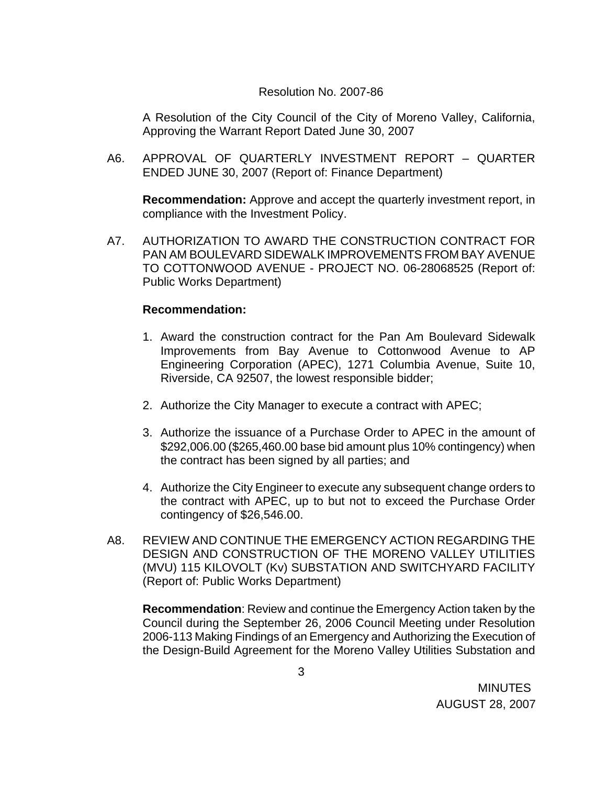#### Resolution No. 2007-86

A Resolution of the City Council of the City of Moreno Valley, California, Approving the Warrant Report Dated June 30, 2007

A6. APPROVAL OF QUARTERLY INVESTMENT REPORT – QUARTER ENDED JUNE 30, 2007 (Report of: Finance Department)

**Recommendation:** Approve and accept the quarterly investment report, in compliance with the Investment Policy.

A7. AUTHORIZATION TO AWARD THE CONSTRUCTION CONTRACT FOR PAN AM BOULEVARD SIDEWALK IMPROVEMENTS FROM BAY AVENUE TO COTTONWOOD AVENUE - PROJECT NO. 06-28068525 (Report of: Public Works Department)

### **Recommendation:**

- 1. Award the construction contract for the Pan Am Boulevard Sidewalk Improvements from Bay Avenue to Cottonwood Avenue to AP Engineering Corporation (APEC), 1271 Columbia Avenue, Suite 10, Riverside, CA 92507, the lowest responsible bidder;
- 2. Authorize the City Manager to execute a contract with APEC;
- 3. Authorize the issuance of a Purchase Order to APEC in the amount of \$292,006.00 (\$265,460.00 base bid amount plus 10% contingency) when the contract has been signed by all parties; and
- 4. Authorize the City Engineer to execute any subsequent change orders to the contract with APEC, up to but not to exceed the Purchase Order contingency of \$26,546.00.
- A8. REVIEW AND CONTINUE THE EMERGENCY ACTION REGARDING THE DESIGN AND CONSTRUCTION OF THE MORENO VALLEY UTILITIES (MVU) 115 KILOVOLT (Kv) SUBSTATION AND SWITCHYARD FACILITY (Report of: Public Works Department)

**Recommendation**: Review and continue the Emergency Action taken by the Council during the September 26, 2006 Council Meeting under Resolution 2006-113 Making Findings of an Emergency and Authorizing the Execution of the Design-Build Agreement for the Moreno Valley Utilities Substation and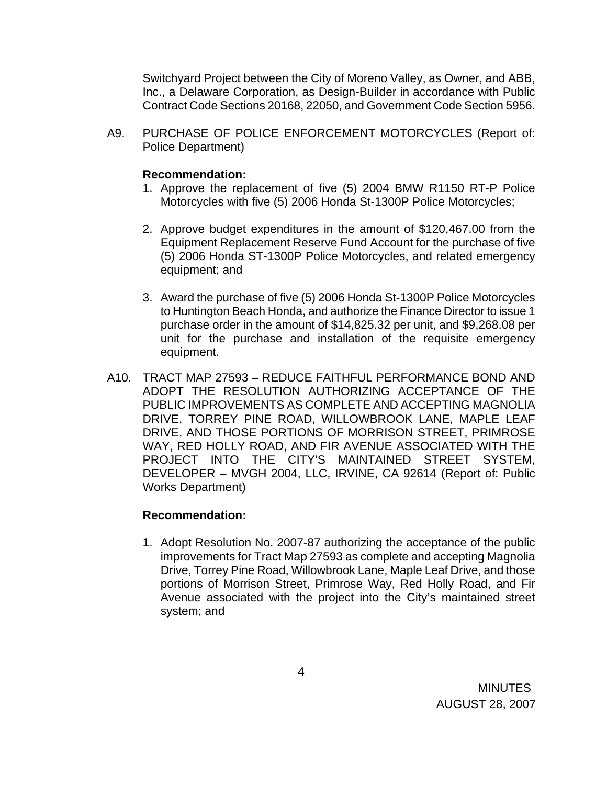Switchyard Project between the City of Moreno Valley, as Owner, and ABB, Inc., a Delaware Corporation, as Design-Builder in accordance with Public Contract Code Sections 20168, 22050, and Government Code Section 5956.

A9. PURCHASE OF POLICE ENFORCEMENT MOTORCYCLES (Report of: Police Department)

#### **Recommendation:**

- 1. Approve the replacement of five (5) 2004 BMW R1150 RT-P Police Motorcycles with five (5) 2006 Honda St-1300P Police Motorcycles;
- 2. Approve budget expenditures in the amount of \$120,467.00 from the Equipment Replacement Reserve Fund Account for the purchase of five (5) 2006 Honda ST-1300P Police Motorcycles, and related emergency equipment; and
- 3. Award the purchase of five (5) 2006 Honda St-1300P Police Motorcycles to Huntington Beach Honda, and authorize the Finance Director to issue 1 purchase order in the amount of \$14,825.32 per unit, and \$9,268.08 per unit for the purchase and installation of the requisite emergency equipment.
- A10. TRACT MAP 27593 REDUCE FAITHFUL PERFORMANCE BOND AND ADOPT THE RESOLUTION AUTHORIZING ACCEPTANCE OF THE PUBLIC IMPROVEMENTS AS COMPLETE AND ACCEPTING MAGNOLIA DRIVE, TORREY PINE ROAD, WILLOWBROOK LANE, MAPLE LEAF DRIVE, AND THOSE PORTIONS OF MORRISON STREET, PRIMROSE WAY, RED HOLLY ROAD, AND FIR AVENUE ASSOCIATED WITH THE PROJECT INTO THE CITY'S MAINTAINED STREET SYSTEM, DEVELOPER – MVGH 2004, LLC, IRVINE, CA 92614 (Report of: Public Works Department)

### **Recommendation:**

1. Adopt Resolution No. 2007-87 authorizing the acceptance of the public improvements for Tract Map 27593 as complete and accepting Magnolia Drive, Torrey Pine Road, Willowbrook Lane, Maple Leaf Drive, and those portions of Morrison Street, Primrose Way, Red Holly Road, and Fir Avenue associated with the project into the City's maintained street system; and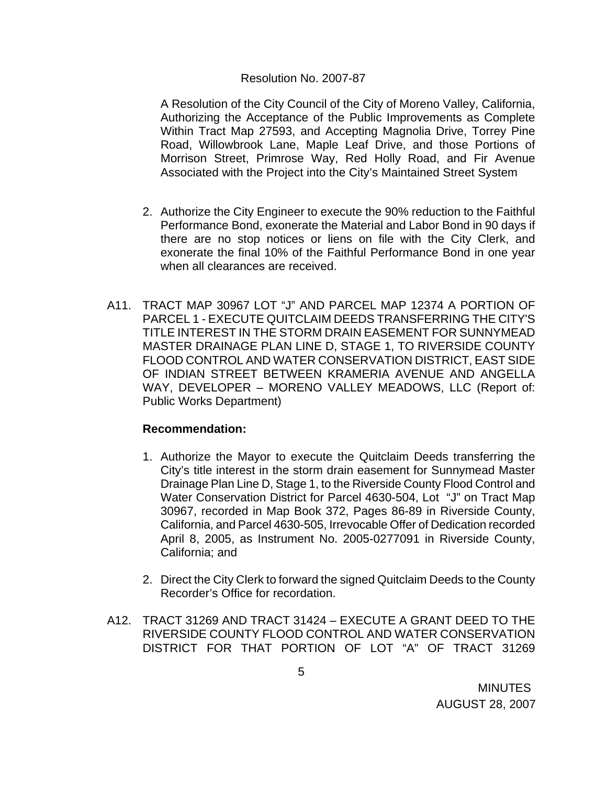#### Resolution No. 2007-87

A Resolution of the City Council of the City of Moreno Valley, California, Authorizing the Acceptance of the Public Improvements as Complete Within Tract Map 27593, and Accepting Magnolia Drive, Torrey Pine Road, Willowbrook Lane, Maple Leaf Drive, and those Portions of Morrison Street, Primrose Way, Red Holly Road, and Fir Avenue Associated with the Project into the City's Maintained Street System

- 2. Authorize the City Engineer to execute the 90% reduction to the Faithful Performance Bond, exonerate the Material and Labor Bond in 90 days if there are no stop notices or liens on file with the City Clerk, and exonerate the final 10% of the Faithful Performance Bond in one year when all clearances are received.
- A11. TRACT MAP 30967 LOT "J" AND PARCEL MAP 12374 A PORTION OF PARCEL 1 - EXECUTE QUITCLAIM DEEDS TRANSFERRING THE CITY'S TITLE INTEREST IN THE STORM DRAIN EASEMENT FOR SUNNYMEAD MASTER DRAINAGE PLAN LINE D, STAGE 1, TO RIVERSIDE COUNTY FLOOD CONTROL AND WATER CONSERVATION DISTRICT, EAST SIDE OF INDIAN STREET BETWEEN KRAMERIA AVENUE AND ANGELLA WAY, DEVELOPER – MORENO VALLEY MEADOWS, LLC (Report of: Public Works Department)

- 1. Authorize the Mayor to execute the Quitclaim Deeds transferring the City's title interest in the storm drain easement for Sunnymead Master Drainage Plan Line D, Stage 1, to the Riverside County Flood Control and Water Conservation District for Parcel 4630-504, Lot "J" on Tract Map 30967, recorded in Map Book 372, Pages 86-89 in Riverside County, California, and Parcel 4630-505, Irrevocable Offer of Dedication recorded April 8, 2005, as Instrument No. 2005-0277091 in Riverside County, California; and
- 2. Direct the City Clerk to forward the signed Quitclaim Deeds to the County Recorder's Office for recordation.
- A12. TRACT 31269 AND TRACT 31424 EXECUTE A GRANT DEED TO THE RIVERSIDE COUNTY FLOOD CONTROL AND WATER CONSERVATION DISTRICT FOR THAT PORTION OF LOT "A" OF TRACT 31269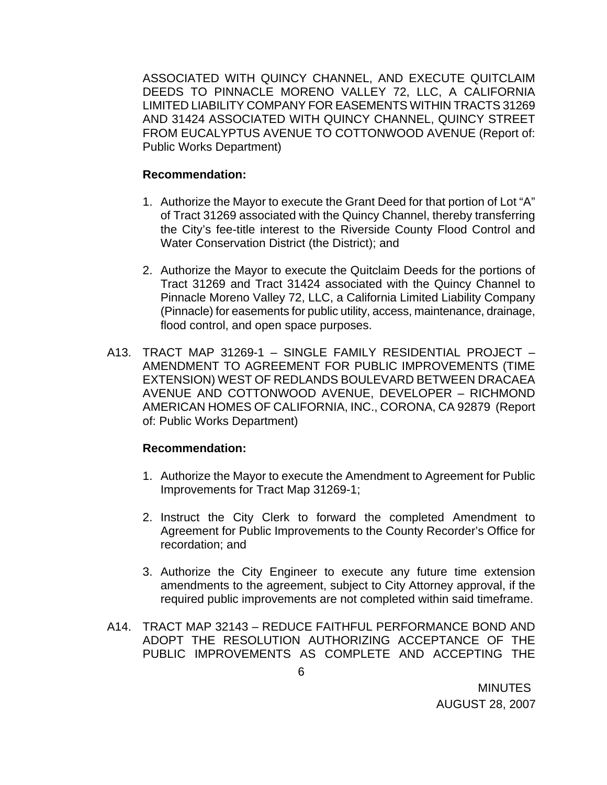ASSOCIATED WITH QUINCY CHANNEL, AND EXECUTE QUITCLAIM DEEDS TO PINNACLE MORENO VALLEY 72, LLC, A CALIFORNIA LIMITED LIABILITY COMPANY FOR EASEMENTS WITHIN TRACTS 31269 AND 31424 ASSOCIATED WITH QUINCY CHANNEL, QUINCY STREET FROM EUCALYPTUS AVENUE TO COTTONWOOD AVENUE (Report of: Public Works Department)

#### **Recommendation:**

- 1. Authorize the Mayor to execute the Grant Deed for that portion of Lot "A" of Tract 31269 associated with the Quincy Channel, thereby transferring the City's fee-title interest to the Riverside County Flood Control and Water Conservation District (the District); and
- 2. Authorize the Mayor to execute the Quitclaim Deeds for the portions of Tract 31269 and Tract 31424 associated with the Quincy Channel to Pinnacle Moreno Valley 72, LLC, a California Limited Liability Company (Pinnacle) for easements for public utility, access, maintenance, drainage, flood control, and open space purposes.
- A13. TRACT MAP 31269-1 SINGLE FAMILY RESIDENTIAL PROJECT AMENDMENT TO AGREEMENT FOR PUBLIC IMPROVEMENTS (TIME EXTENSION) WEST OF REDLANDS BOULEVARD BETWEEN DRACAEA AVENUE AND COTTONWOOD AVENUE, DEVELOPER – RICHMOND AMERICAN HOMES OF CALIFORNIA, INC., CORONA, CA 92879 (Report of: Public Works Department)

- 1. Authorize the Mayor to execute the Amendment to Agreement for Public Improvements for Tract Map 31269-1;
- 2. Instruct the City Clerk to forward the completed Amendment to Agreement for Public Improvements to the County Recorder's Office for recordation; and
- 3. Authorize the City Engineer to execute any future time extension amendments to the agreement, subject to City Attorney approval, if the required public improvements are not completed within said timeframe.
- A14. TRACT MAP 32143 REDUCE FAITHFUL PERFORMANCE BOND AND ADOPT THE RESOLUTION AUTHORIZING ACCEPTANCE OF THE PUBLIC IMPROVEMENTS AS COMPLETE AND ACCEPTING THE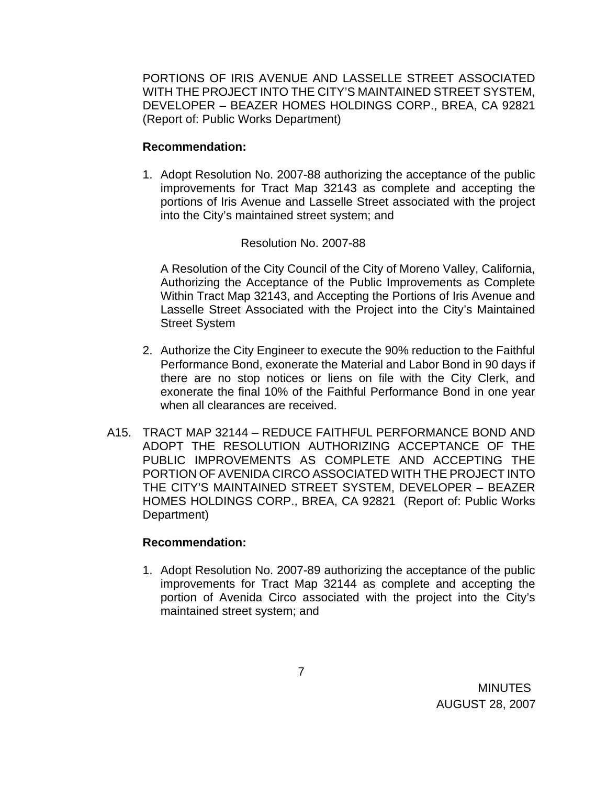PORTIONS OF IRIS AVENUE AND LASSELLE STREET ASSOCIATED WITH THE PROJECT INTO THE CITY'S MAINTAINED STREET SYSTEM, DEVELOPER – BEAZER HOMES HOLDINGS CORP., BREA, CA 92821 (Report of: Public Works Department)

## **Recommendation:**

1. Adopt Resolution No. 2007-88 authorizing the acceptance of the public improvements for Tract Map 32143 as complete and accepting the portions of Iris Avenue and Lasselle Street associated with the project into the City's maintained street system; and

## Resolution No. 2007-88

A Resolution of the City Council of the City of Moreno Valley, California, Authorizing the Acceptance of the Public Improvements as Complete Within Tract Map 32143, and Accepting the Portions of Iris Avenue and Lasselle Street Associated with the Project into the City's Maintained Street System

- 2. Authorize the City Engineer to execute the 90% reduction to the Faithful Performance Bond, exonerate the Material and Labor Bond in 90 days if there are no stop notices or liens on file with the City Clerk, and exonerate the final 10% of the Faithful Performance Bond in one year when all clearances are received.
- A15. TRACT MAP 32144 REDUCE FAITHFUL PERFORMANCE BOND AND ADOPT THE RESOLUTION AUTHORIZING ACCEPTANCE OF THE PUBLIC IMPROVEMENTS AS COMPLETE AND ACCEPTING THE PORTION OF AVENIDA CIRCO ASSOCIATED WITH THE PROJECT INTO THE CITY'S MAINTAINED STREET SYSTEM, DEVELOPER – BEAZER HOMES HOLDINGS CORP., BREA, CA 92821 (Report of: Public Works Department)

### **Recommendation:**

1. Adopt Resolution No. 2007-89 authorizing the acceptance of the public improvements for Tract Map 32144 as complete and accepting the portion of Avenida Circo associated with the project into the City's maintained street system; and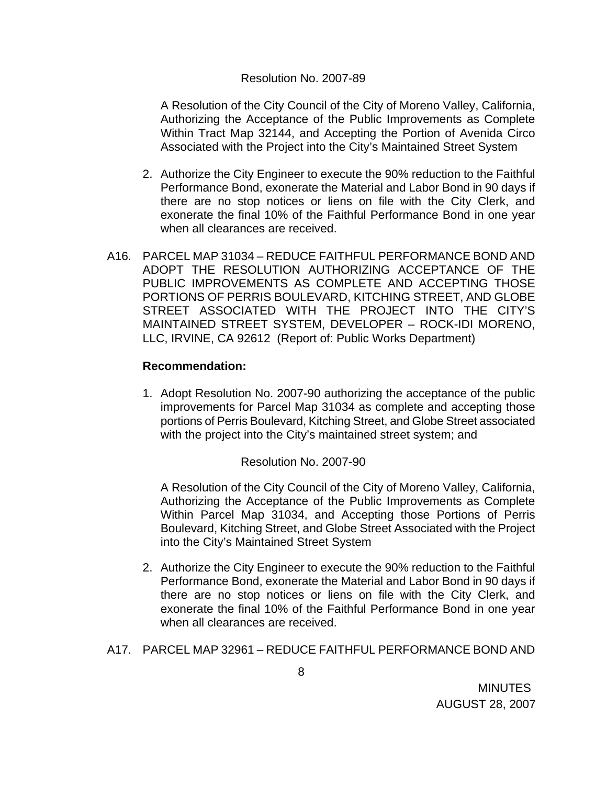#### Resolution No. 2007-89

A Resolution of the City Council of the City of Moreno Valley, California, Authorizing the Acceptance of the Public Improvements as Complete Within Tract Map 32144, and Accepting the Portion of Avenida Circo Associated with the Project into the City's Maintained Street System

- 2. Authorize the City Engineer to execute the 90% reduction to the Faithful Performance Bond, exonerate the Material and Labor Bond in 90 days if there are no stop notices or liens on file with the City Clerk, and exonerate the final 10% of the Faithful Performance Bond in one year when all clearances are received.
- A16. PARCEL MAP 31034 REDUCE FAITHFUL PERFORMANCE BOND AND ADOPT THE RESOLUTION AUTHORIZING ACCEPTANCE OF THE PUBLIC IMPROVEMENTS AS COMPLETE AND ACCEPTING THOSE PORTIONS OF PERRIS BOULEVARD, KITCHING STREET, AND GLOBE STREET ASSOCIATED WITH THE PROJECT INTO THE CITY'S MAINTAINED STREET SYSTEM, DEVELOPER – ROCK-IDI MORENO, LLC, IRVINE, CA 92612 (Report of: Public Works Department)

### **Recommendation:**

1. Adopt Resolution No. 2007-90 authorizing the acceptance of the public improvements for Parcel Map 31034 as complete and accepting those portions of Perris Boulevard, Kitching Street, and Globe Street associated with the project into the City's maintained street system; and

### Resolution No. 2007-90

A Resolution of the City Council of the City of Moreno Valley, California, Authorizing the Acceptance of the Public Improvements as Complete Within Parcel Map 31034, and Accepting those Portions of Perris Boulevard, Kitching Street, and Globe Street Associated with the Project into the City's Maintained Street System

- 2. Authorize the City Engineer to execute the 90% reduction to the Faithful Performance Bond, exonerate the Material and Labor Bond in 90 days if there are no stop notices or liens on file with the City Clerk, and exonerate the final 10% of the Faithful Performance Bond in one year when all clearances are received.
- A17. PARCEL MAP 32961 REDUCE FAITHFUL PERFORMANCE BOND AND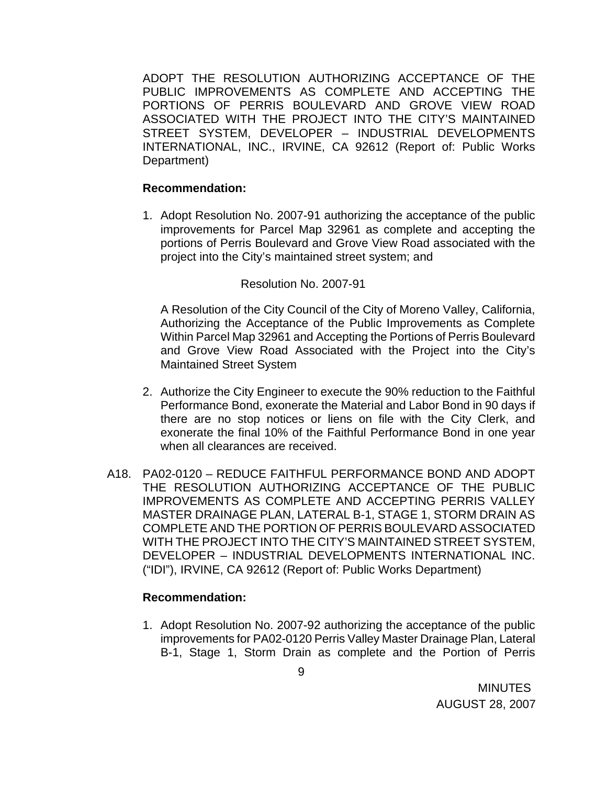ADOPT THE RESOLUTION AUTHORIZING ACCEPTANCE OF THE PUBLIC IMPROVEMENTS AS COMPLETE AND ACCEPTING THE PORTIONS OF PERRIS BOULEVARD AND GROVE VIEW ROAD ASSOCIATED WITH THE PROJECT INTO THE CITY'S MAINTAINED STREET SYSTEM, DEVELOPER – INDUSTRIAL DEVELOPMENTS INTERNATIONAL, INC., IRVINE, CA 92612 (Report of: Public Works Department)

#### **Recommendation:**

1. Adopt Resolution No. 2007-91 authorizing the acceptance of the public improvements for Parcel Map 32961 as complete and accepting the portions of Perris Boulevard and Grove View Road associated with the project into the City's maintained street system; and

#### Resolution No. 2007-91

A Resolution of the City Council of the City of Moreno Valley, California, Authorizing the Acceptance of the Public Improvements as Complete Within Parcel Map 32961 and Accepting the Portions of Perris Boulevard and Grove View Road Associated with the Project into the City's Maintained Street System

- 2. Authorize the City Engineer to execute the 90% reduction to the Faithful Performance Bond, exonerate the Material and Labor Bond in 90 days if there are no stop notices or liens on file with the City Clerk, and exonerate the final 10% of the Faithful Performance Bond in one year when all clearances are received.
- A18. PA02-0120 REDUCE FAITHFUL PERFORMANCE BOND AND ADOPT THE RESOLUTION AUTHORIZING ACCEPTANCE OF THE PUBLIC IMPROVEMENTS AS COMPLETE AND ACCEPTING PERRIS VALLEY MASTER DRAINAGE PLAN, LATERAL B-1, STAGE 1, STORM DRAIN AS COMPLETE AND THE PORTION OF PERRIS BOULEVARD ASSOCIATED WITH THE PROJECT INTO THE CITY'S MAINTAINED STREET SYSTEM, DEVELOPER – INDUSTRIAL DEVELOPMENTS INTERNATIONAL INC. ("IDI"), IRVINE, CA 92612 (Report of: Public Works Department)

#### **Recommendation:**

1. Adopt Resolution No. 2007-92 authorizing the acceptance of the public improvements for PA02-0120 Perris Valley Master Drainage Plan, Lateral B-1, Stage 1, Storm Drain as complete and the Portion of Perris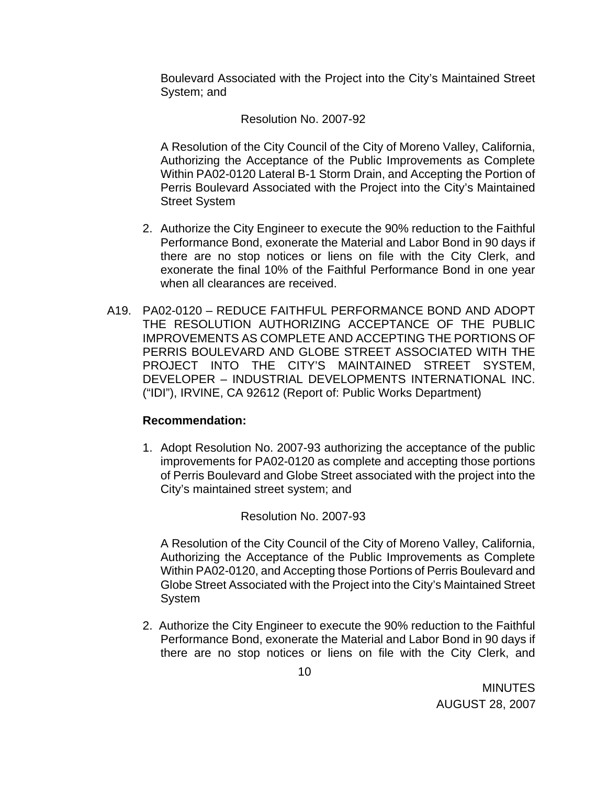Boulevard Associated with the Project into the City's Maintained Street System; and

## Resolution No. 2007-92

A Resolution of the City Council of the City of Moreno Valley, California, Authorizing the Acceptance of the Public Improvements as Complete Within PA02-0120 Lateral B-1 Storm Drain, and Accepting the Portion of Perris Boulevard Associated with the Project into the City's Maintained Street System

- 2. Authorize the City Engineer to execute the 90% reduction to the Faithful Performance Bond, exonerate the Material and Labor Bond in 90 days if there are no stop notices or liens on file with the City Clerk, and exonerate the final 10% of the Faithful Performance Bond in one year when all clearances are received.
- A19. PA02-0120 REDUCE FAITHFUL PERFORMANCE BOND AND ADOPT THE RESOLUTION AUTHORIZING ACCEPTANCE OF THE PUBLIC IMPROVEMENTS AS COMPLETE AND ACCEPTING THE PORTIONS OF PERRIS BOULEVARD AND GLOBE STREET ASSOCIATED WITH THE PROJECT INTO THE CITY'S MAINTAINED STREET SYSTEM, DEVELOPER – INDUSTRIAL DEVELOPMENTS INTERNATIONAL INC. ("IDI"), IRVINE, CA 92612 (Report of: Public Works Department)

### **Recommendation:**

1. Adopt Resolution No. 2007-93 authorizing the acceptance of the public improvements for PA02-0120 as complete and accepting those portions of Perris Boulevard and Globe Street associated with the project into the City's maintained street system; and

### Resolution No. 2007-93

A Resolution of the City Council of the City of Moreno Valley, California, Authorizing the Acceptance of the Public Improvements as Complete Within PA02-0120, and Accepting those Portions of Perris Boulevard and Globe Street Associated with the Project into the City's Maintained Street System

2. Authorize the City Engineer to execute the 90% reduction to the Faithful Performance Bond, exonerate the Material and Labor Bond in 90 days if there are no stop notices or liens on file with the City Clerk, and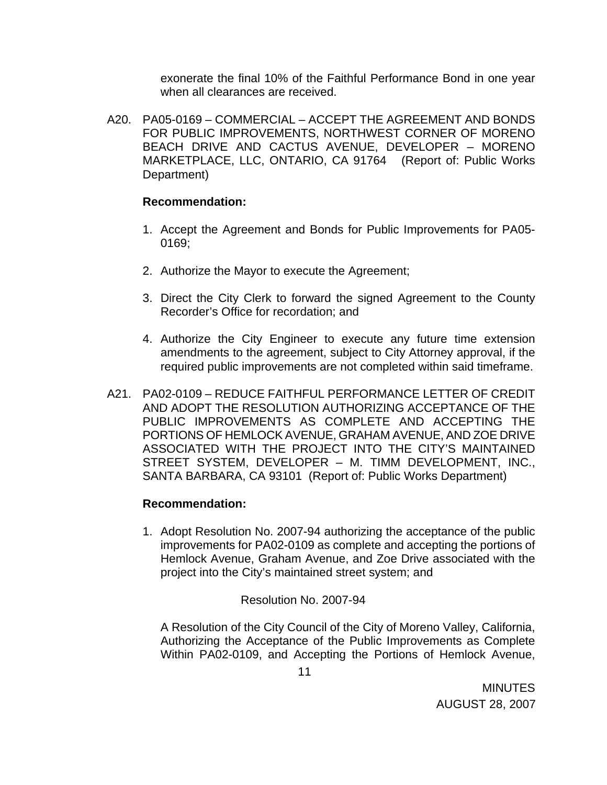exonerate the final 10% of the Faithful Performance Bond in one year when all clearances are received.

A20. PA05-0169 – COMMERCIAL – ACCEPT THE AGREEMENT AND BONDS FOR PUBLIC IMPROVEMENTS, NORTHWEST CORNER OF MORENO BEACH DRIVE AND CACTUS AVENUE, DEVELOPER – MORENO MARKETPLACE, LLC, ONTARIO, CA 91764 (Report of: Public Works Department)

### **Recommendation:**

- 1. Accept the Agreement and Bonds for Public Improvements for PA05- 0169;
- 2. Authorize the Mayor to execute the Agreement;
- 3. Direct the City Clerk to forward the signed Agreement to the County Recorder's Office for recordation; and
- 4. Authorize the City Engineer to execute any future time extension amendments to the agreement, subject to City Attorney approval, if the required public improvements are not completed within said timeframe.
- A21. PA02-0109 REDUCE FAITHFUL PERFORMANCE LETTER OF CREDIT AND ADOPT THE RESOLUTION AUTHORIZING ACCEPTANCE OF THE PUBLIC IMPROVEMENTS AS COMPLETE AND ACCEPTING THE PORTIONS OF HEMLOCK AVENUE, GRAHAM AVENUE, AND ZOE DRIVE ASSOCIATED WITH THE PROJECT INTO THE CITY'S MAINTAINED STREET SYSTEM, DEVELOPER – M. TIMM DEVELOPMENT, INC., SANTA BARBARA, CA 93101 (Report of: Public Works Department)

### **Recommendation:**

1. Adopt Resolution No. 2007-94 authorizing the acceptance of the public improvements for PA02-0109 as complete and accepting the portions of Hemlock Avenue, Graham Avenue, and Zoe Drive associated with the project into the City's maintained street system; and

Resolution No. 2007-94

A Resolution of the City Council of the City of Moreno Valley, California, Authorizing the Acceptance of the Public Improvements as Complete Within PA02-0109, and Accepting the Portions of Hemlock Avenue,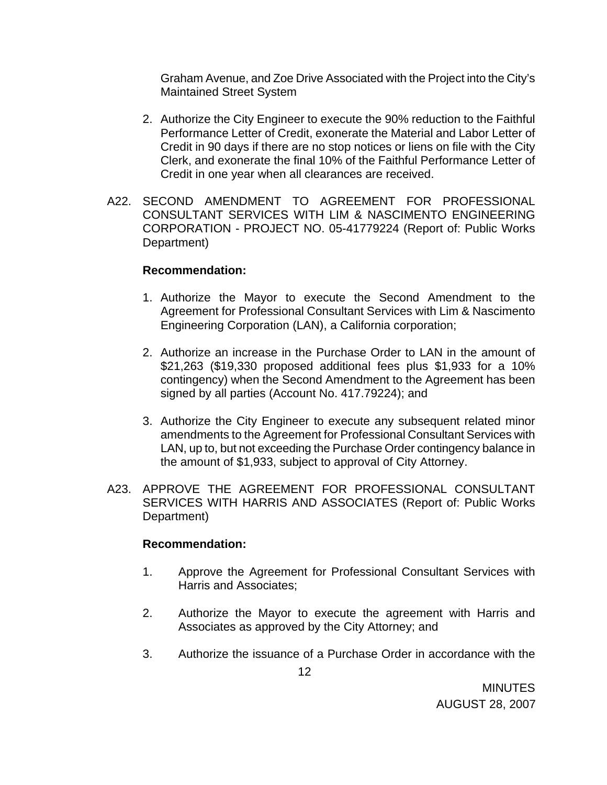Graham Avenue, and Zoe Drive Associated with the Project into the City's Maintained Street System

- 2. Authorize the City Engineer to execute the 90% reduction to the Faithful Performance Letter of Credit, exonerate the Material and Labor Letter of Credit in 90 days if there are no stop notices or liens on file with the City Clerk, and exonerate the final 10% of the Faithful Performance Letter of Credit in one year when all clearances are received.
- A22. SECOND AMENDMENT TO AGREEMENT FOR PROFESSIONAL CONSULTANT SERVICES WITH LIM & NASCIMENTO ENGINEERING CORPORATION - PROJECT NO. 05-41779224 (Report of: Public Works Department)

### **Recommendation:**

- 1. Authorize the Mayor to execute the Second Amendment to the Agreement for Professional Consultant Services with Lim & Nascimento Engineering Corporation (LAN), a California corporation;
- 2. Authorize an increase in the Purchase Order to LAN in the amount of \$21,263 (\$19,330 proposed additional fees plus \$1,933 for a 10% contingency) when the Second Amendment to the Agreement has been signed by all parties (Account No. 417.79224); and
- 3. Authorize the City Engineer to execute any subsequent related minor amendments to the Agreement for Professional Consultant Services with LAN, up to, but not exceeding the Purchase Order contingency balance in the amount of \$1,933, subject to approval of City Attorney.
- A23. APPROVE THE AGREEMENT FOR PROFESSIONAL CONSULTANT SERVICES WITH HARRIS AND ASSOCIATES (Report of: Public Works Department)

#### **Recommendation:**

- 1. Approve the Agreement for Professional Consultant Services with Harris and Associates;
- 2. Authorize the Mayor to execute the agreement with Harris and Associates as approved by the City Attorney; and
- 3. Authorize the issuance of a Purchase Order in accordance with the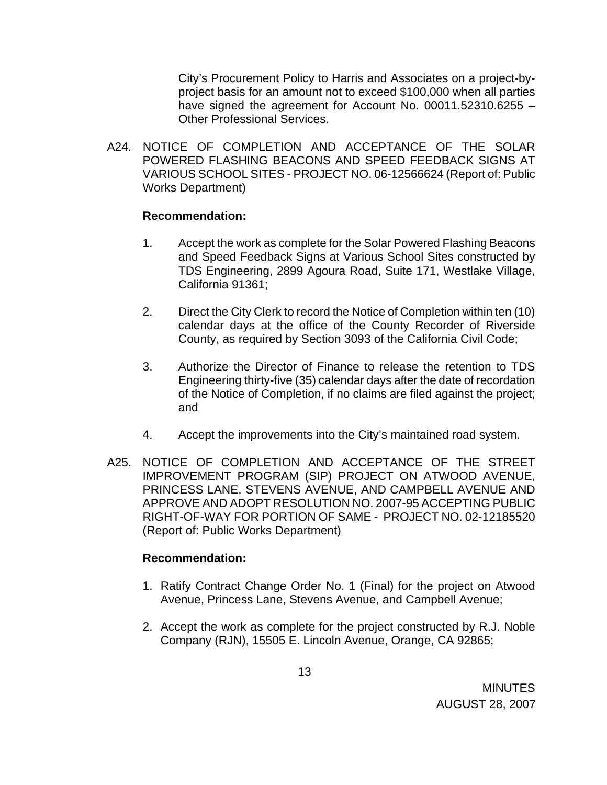City's Procurement Policy to Harris and Associates on a project-byproject basis for an amount not to exceed \$100,000 when all parties have signed the agreement for Account No. 00011.52310.6255 -Other Professional Services.

A24. NOTICE OF COMPLETION AND ACCEPTANCE OF THE SOLAR POWERED FLASHING BEACONS AND SPEED FEEDBACK SIGNS AT VARIOUS SCHOOL SITES - PROJECT NO. 06-12566624 (Report of: Public Works Department)

#### **Recommendation:**

- 1. Accept the work as complete for the Solar Powered Flashing Beacons and Speed Feedback Signs at Various School Sites constructed by TDS Engineering, 2899 Agoura Road, Suite 171, Westlake Village, California 91361;
- 2. Direct the City Clerk to record the Notice of Completion within ten (10) calendar days at the office of the County Recorder of Riverside County, as required by Section 3093 of the California Civil Code;
- 3. Authorize the Director of Finance to release the retention to TDS Engineering thirty-five (35) calendar days after the date of recordation of the Notice of Completion, if no claims are filed against the project; and
- 4. Accept the improvements into the City's maintained road system.
- A25. NOTICE OF COMPLETION AND ACCEPTANCE OF THE STREET IMPROVEMENT PROGRAM (SIP) PROJECT ON ATWOOD AVENUE, PRINCESS LANE, STEVENS AVENUE, AND CAMPBELL AVENUE AND APPROVE AND ADOPT RESOLUTION NO. 2007-95 ACCEPTING PUBLIC RIGHT-OF-WAY FOR PORTION OF SAME - PROJECT NO. 02-12185520 (Report of: Public Works Department)

- 1. Ratify Contract Change Order No. 1 (Final) for the project on Atwood Avenue, Princess Lane, Stevens Avenue, and Campbell Avenue;
- 2. Accept the work as complete for the project constructed by R.J. Noble Company (RJN), 15505 E. Lincoln Avenue, Orange, CA 92865;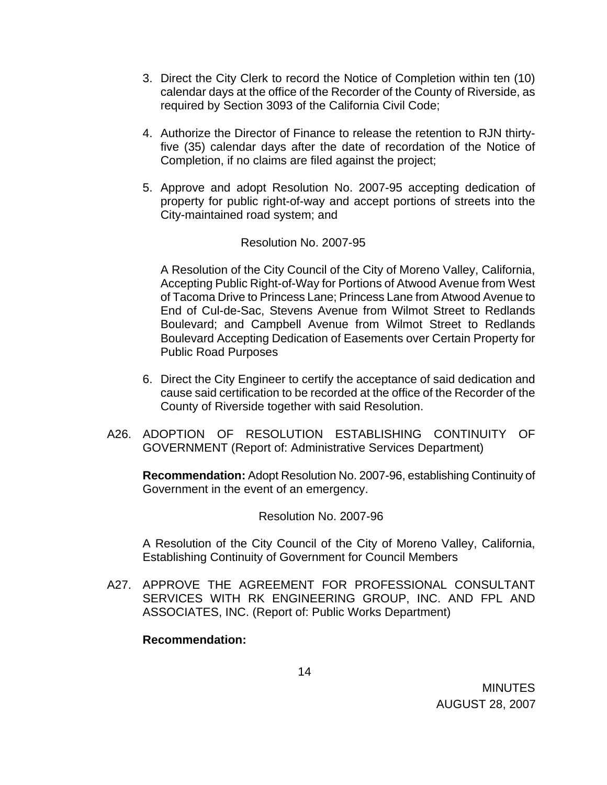- 3. Direct the City Clerk to record the Notice of Completion within ten (10) calendar days at the office of the Recorder of the County of Riverside, as required by Section 3093 of the California Civil Code;
- 4. Authorize the Director of Finance to release the retention to RJN thirtyfive (35) calendar days after the date of recordation of the Notice of Completion, if no claims are filed against the project;
- 5. Approve and adopt Resolution No. 2007-95 accepting dedication of property for public right-of-way and accept portions of streets into the City-maintained road system; and

#### Resolution No. 2007-95

A Resolution of the City Council of the City of Moreno Valley, California, Accepting Public Right-of-Way for Portions of Atwood Avenue from West of Tacoma Drive to Princess Lane; Princess Lane from Atwood Avenue to End of Cul-de-Sac, Stevens Avenue from Wilmot Street to Redlands Boulevard; and Campbell Avenue from Wilmot Street to Redlands Boulevard Accepting Dedication of Easements over Certain Property for Public Road Purposes

- 6. Direct the City Engineer to certify the acceptance of said dedication and cause said certification to be recorded at the office of the Recorder of the County of Riverside together with said Resolution.
- A26. ADOPTION OF RESOLUTION ESTABLISHING CONTINUITY OF GOVERNMENT (Report of: Administrative Services Department)

**Recommendation:** Adopt Resolution No. 2007-96, establishing Continuity of Government in the event of an emergency.

Resolution No. 2007-96

A Resolution of the City Council of the City of Moreno Valley, California, Establishing Continuity of Government for Council Members

A27. APPROVE THE AGREEMENT FOR PROFESSIONAL CONSULTANT SERVICES WITH RK ENGINEERING GROUP, INC. AND FPL AND ASSOCIATES, INC. (Report of: Public Works Department)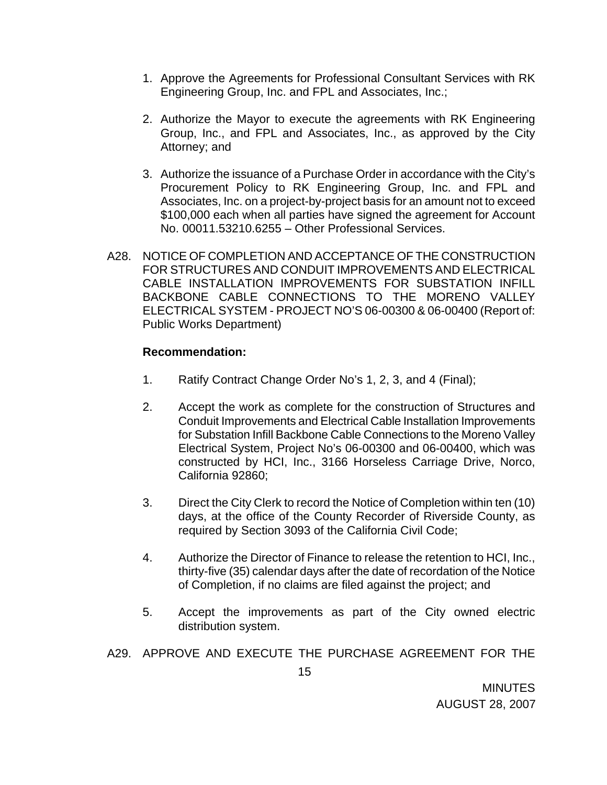- 1. Approve the Agreements for Professional Consultant Services with RK Engineering Group, Inc. and FPL and Associates, Inc.;
- 2. Authorize the Mayor to execute the agreements with RK Engineering Group, Inc., and FPL and Associates, Inc., as approved by the City Attorney; and
- 3. Authorize the issuance of a Purchase Order in accordance with the City's Procurement Policy to RK Engineering Group, Inc. and FPL and Associates, Inc. on a project-by-project basis for an amount not to exceed \$100,000 each when all parties have signed the agreement for Account No. 00011.53210.6255 – Other Professional Services.
- A28. NOTICE OF COMPLETION AND ACCEPTANCE OF THE CONSTRUCTION FOR STRUCTURES AND CONDUIT IMPROVEMENTS AND ELECTRICAL CABLE INSTALLATION IMPROVEMENTS FOR SUBSTATION INFILL BACKBONE CABLE CONNECTIONS TO THE MORENO VALLEY ELECTRICAL SYSTEM - PROJECT NO'S 06-00300 & 06-00400 (Report of: Public Works Department)

- 1. Ratify Contract Change Order No's 1, 2, 3, and 4 (Final);
- 2. Accept the work as complete for the construction of Structures and Conduit Improvements and Electrical Cable Installation Improvements for Substation Infill Backbone Cable Connections to the Moreno Valley Electrical System, Project No's 06-00300 and 06-00400, which was constructed by HCI, Inc., 3166 Horseless Carriage Drive, Norco, California 92860;
- 3. Direct the City Clerk to record the Notice of Completion within ten (10) days, at the office of the County Recorder of Riverside County, as required by Section 3093 of the California Civil Code;
- 4. Authorize the Director of Finance to release the retention to HCI, Inc., thirty-five (35) calendar days after the date of recordation of the Notice of Completion, if no claims are filed against the project; and
- 5. Accept the improvements as part of the City owned electric distribution system.
- A29. APPROVE AND EXECUTE THE PURCHASE AGREEMENT FOR THE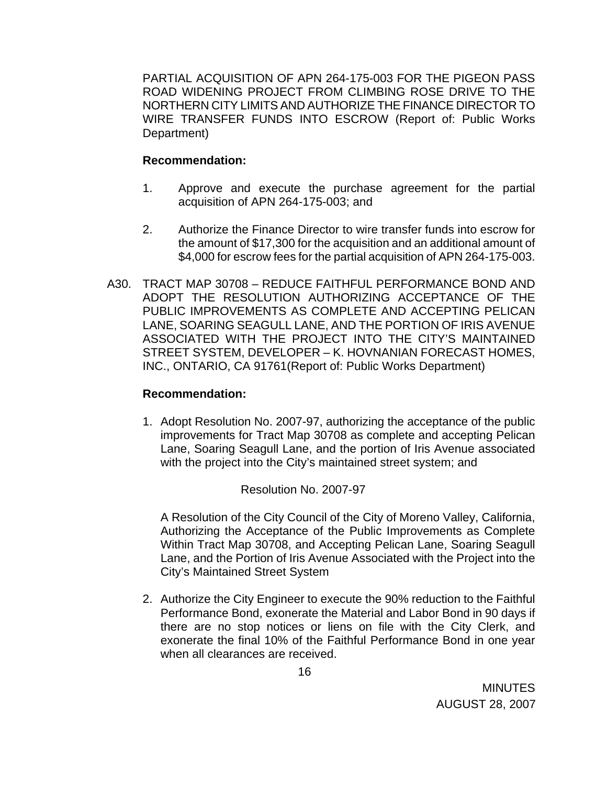PARTIAL ACQUISITION OF APN 264-175-003 FOR THE PIGEON PASS ROAD WIDENING PROJECT FROM CLIMBING ROSE DRIVE TO THE NORTHERN CITY LIMITS AND AUTHORIZE THE FINANCE DIRECTOR TO WIRE TRANSFER FUNDS INTO ESCROW (Report of: Public Works Department)

### **Recommendation:**

- 1. Approve and execute the purchase agreement for the partial acquisition of APN 264-175-003; and
- 2. Authorize the Finance Director to wire transfer funds into escrow for the amount of \$17,300 for the acquisition and an additional amount of \$4,000 for escrow fees for the partial acquisition of APN 264-175-003.
- A30. TRACT MAP 30708 REDUCE FAITHFUL PERFORMANCE BOND AND ADOPT THE RESOLUTION AUTHORIZING ACCEPTANCE OF THE PUBLIC IMPROVEMENTS AS COMPLETE AND ACCEPTING PELICAN LANE, SOARING SEAGULL LANE, AND THE PORTION OF IRIS AVENUE ASSOCIATED WITH THE PROJECT INTO THE CITY'S MAINTAINED STREET SYSTEM, DEVELOPER – K. HOVNANIAN FORECAST HOMES, INC., ONTARIO, CA 91761(Report of: Public Works Department)

### **Recommendation:**

1. Adopt Resolution No. 2007-97, authorizing the acceptance of the public improvements for Tract Map 30708 as complete and accepting Pelican Lane, Soaring Seagull Lane, and the portion of Iris Avenue associated with the project into the City's maintained street system; and

Resolution No. 2007-97

A Resolution of the City Council of the City of Moreno Valley, California, Authorizing the Acceptance of the Public Improvements as Complete Within Tract Map 30708, and Accepting Pelican Lane, Soaring Seagull Lane, and the Portion of Iris Avenue Associated with the Project into the City's Maintained Street System

2. Authorize the City Engineer to execute the 90% reduction to the Faithful Performance Bond, exonerate the Material and Labor Bond in 90 days if there are no stop notices or liens on file with the City Clerk, and exonerate the final 10% of the Faithful Performance Bond in one year when all clearances are received.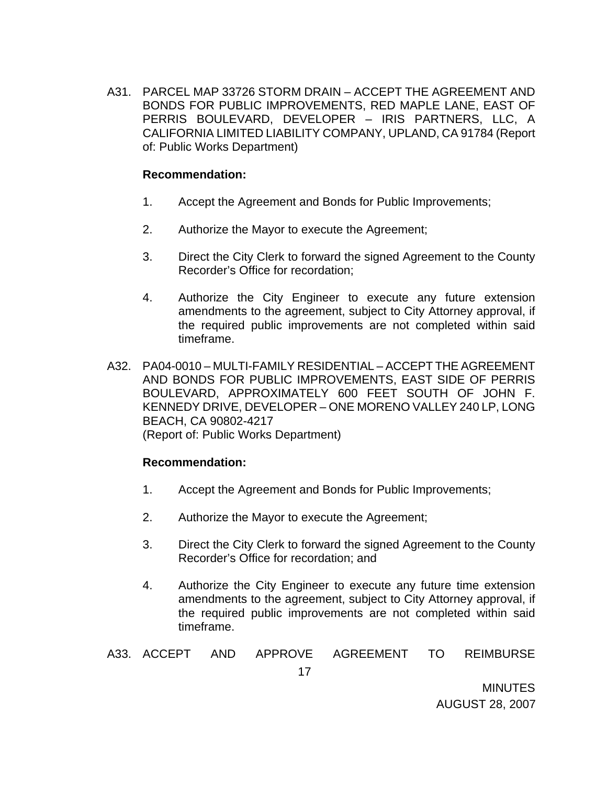A31. PARCEL MAP 33726 STORM DRAIN – ACCEPT THE AGREEMENT AND BONDS FOR PUBLIC IMPROVEMENTS, RED MAPLE LANE, EAST OF PERRIS BOULEVARD, DEVELOPER – IRIS PARTNERS, LLC, A CALIFORNIA LIMITED LIABILITY COMPANY, UPLAND, CA 91784 (Report of: Public Works Department)

#### **Recommendation:**

- 1. Accept the Agreement and Bonds for Public Improvements;
- 2. Authorize the Mayor to execute the Agreement;
- 3. Direct the City Clerk to forward the signed Agreement to the County Recorder's Office for recordation;
- 4. Authorize the City Engineer to execute any future extension amendments to the agreement, subject to City Attorney approval, if the required public improvements are not completed within said timeframe.
- A32. PA04-0010 MULTI-FAMILY RESIDENTIAL ACCEPT THE AGREEMENT AND BONDS FOR PUBLIC IMPROVEMENTS, EAST SIDE OF PERRIS BOULEVARD, APPROXIMATELY 600 FEET SOUTH OF JOHN F. KENNEDY DRIVE, DEVELOPER – ONE MORENO VALLEY 240 LP, LONG BEACH, CA 90802-4217 (Report of: Public Works Department)

### **Recommendation:**

- 1. Accept the Agreement and Bonds for Public Improvements;
- 2. Authorize the Mayor to execute the Agreement;
- 3. Direct the City Clerk to forward the signed Agreement to the County Recorder's Office for recordation; and
- 4. Authorize the City Engineer to execute any future time extension amendments to the agreement, subject to City Attorney approval, if the required public improvements are not completed within said timeframe.

# A33. ACCEPT AND APPROVE AGREEMENT TO REIMBURSE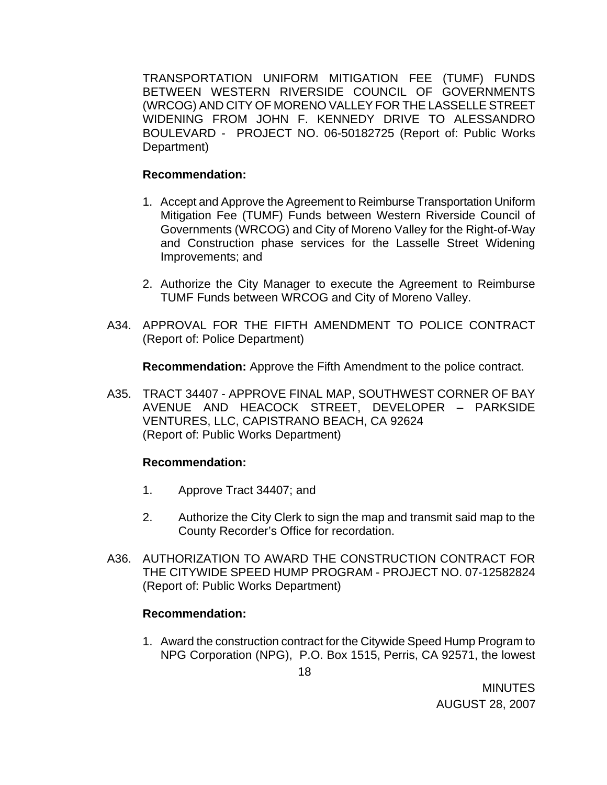TRANSPORTATION UNIFORM MITIGATION FEE (TUMF) FUNDS BETWEEN WESTERN RIVERSIDE COUNCIL OF GOVERNMENTS (WRCOG) AND CITY OF MORENO VALLEY FOR THE LASSELLE STREET WIDENING FROM JOHN F. KENNEDY DRIVE TO ALESSANDRO BOULEVARD - PROJECT NO. 06-50182725 (Report of: Public Works Department)

#### **Recommendation:**

- 1. Accept and Approve the Agreement to Reimburse Transportation Uniform Mitigation Fee (TUMF) Funds between Western Riverside Council of Governments (WRCOG) and City of Moreno Valley for the Right-of-Way and Construction phase services for the Lasselle Street Widening Improvements; and
- 2. Authorize the City Manager to execute the Agreement to Reimburse TUMF Funds between WRCOG and City of Moreno Valley.
- A34. APPROVAL FOR THE FIFTH AMENDMENT TO POLICE CONTRACT (Report of: Police Department)

**Recommendation:** Approve the Fifth Amendment to the police contract.

A35. TRACT 34407 - APPROVE FINAL MAP, SOUTHWEST CORNER OF BAY AVENUE AND HEACOCK STREET, DEVELOPER – PARKSIDE VENTURES, LLC, CAPISTRANO BEACH, CA 92624 (Report of: Public Works Department)

#### **Recommendation:**

- 1. Approve Tract 34407; and
- 2. Authorize the City Clerk to sign the map and transmit said map to the County Recorder's Office for recordation.
- A36. AUTHORIZATION TO AWARD THE CONSTRUCTION CONTRACT FOR THE CITYWIDE SPEED HUMP PROGRAM - PROJECT NO. 07-12582824 (Report of: Public Works Department)

### **Recommendation:**

1. Award the construction contract for the Citywide Speed Hump Program to NPG Corporation (NPG), P.O. Box 1515, Perris, CA 92571, the lowest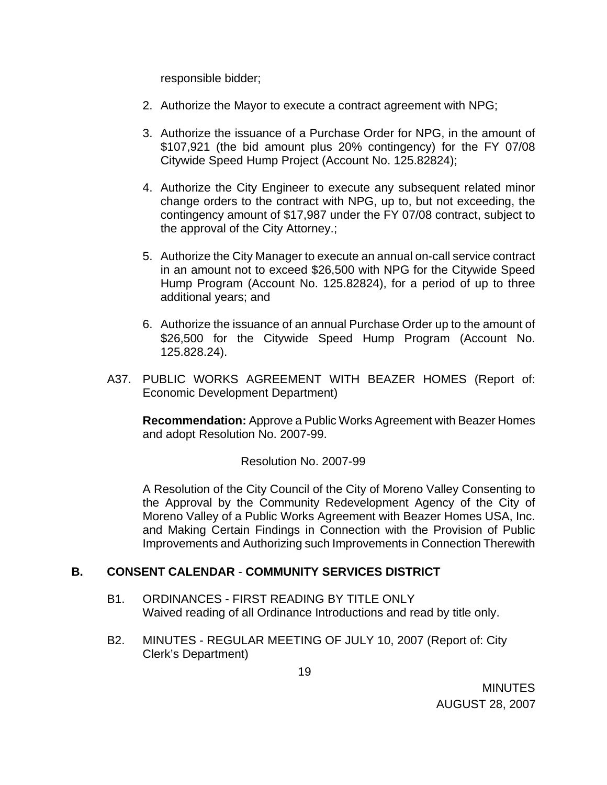responsible bidder;

- 2. Authorize the Mayor to execute a contract agreement with NPG;
- 3. Authorize the issuance of a Purchase Order for NPG, in the amount of \$107,921 (the bid amount plus 20% contingency) for the FY 07/08 Citywide Speed Hump Project (Account No. 125.82824);
- 4. Authorize the City Engineer to execute any subsequent related minor change orders to the contract with NPG, up to, but not exceeding, the contingency amount of \$17,987 under the FY 07/08 contract, subject to the approval of the City Attorney.;
- 5. Authorize the City Manager to execute an annual on-call service contract in an amount not to exceed \$26,500 with NPG for the Citywide Speed Hump Program (Account No. 125.82824), for a period of up to three additional years; and
- 6. Authorize the issuance of an annual Purchase Order up to the amount of \$26,500 for the Citywide Speed Hump Program (Account No. 125.828.24).
- A37. PUBLIC WORKS AGREEMENT WITH BEAZER HOMES (Report of: Economic Development Department)

**Recommendation:** Approve a Public Works Agreement with Beazer Homes and adopt Resolution No. 2007-99.

### Resolution No. 2007-99

A Resolution of the City Council of the City of Moreno Valley Consenting to the Approval by the Community Redevelopment Agency of the City of Moreno Valley of a Public Works Agreement with Beazer Homes USA, Inc. and Making Certain Findings in Connection with the Provision of Public Improvements and Authorizing such Improvements in Connection Therewith

### **B. CONSENT CALENDAR** - **COMMUNITY SERVICES DISTRICT**

- B1. ORDINANCES FIRST READING BY TITLE ONLY Waived reading of all Ordinance Introductions and read by title only.
- B2. MINUTES REGULAR MEETING OF JULY 10, 2007 (Report of: City Clerk's Department)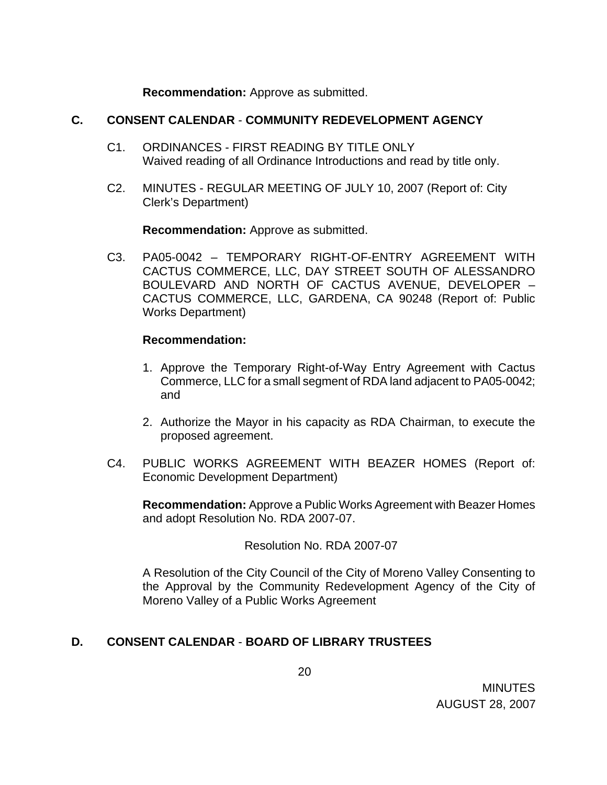**Recommendation:** Approve as submitted.

### **C. CONSENT CALENDAR** - **COMMUNITY REDEVELOPMENT AGENCY**

- C1. ORDINANCES FIRST READING BY TITLE ONLY Waived reading of all Ordinance Introductions and read by title only.
- C2. MINUTES REGULAR MEETING OF JULY 10, 2007 (Report of: City Clerk's Department)

**Recommendation:** Approve as submitted.

C3. PA05-0042 – TEMPORARY RIGHT-OF-ENTRY AGREEMENT WITH CACTUS COMMERCE, LLC, DAY STREET SOUTH OF ALESSANDRO BOULEVARD AND NORTH OF CACTUS AVENUE, DEVELOPER – CACTUS COMMERCE, LLC, GARDENA, CA 90248 (Report of: Public Works Department)

## **Recommendation:**

- 1. Approve the Temporary Right-of-Way Entry Agreement with Cactus Commerce, LLC for a small segment of RDA land adjacent to PA05-0042; and
- 2. Authorize the Mayor in his capacity as RDA Chairman, to execute the proposed agreement.
- C4. PUBLIC WORKS AGREEMENT WITH BEAZER HOMES (Report of: Economic Development Department)

**Recommendation:** Approve a Public Works Agreement with Beazer Homes and adopt Resolution No. RDA 2007-07.

Resolution No. RDA 2007-07

A Resolution of the City Council of the City of Moreno Valley Consenting to the Approval by the Community Redevelopment Agency of the City of Moreno Valley of a Public Works Agreement

# **D. CONSENT CALENDAR** - **BOARD OF LIBRARY TRUSTEES**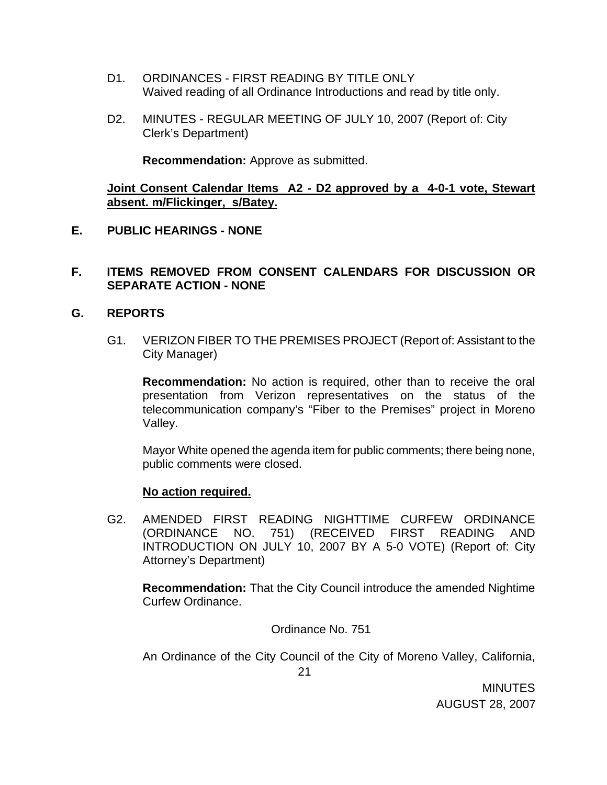- D1. ORDINANCES FIRST READING BY TITLE ONLY Waived reading of all Ordinance Introductions and read by title only.
- D2. MINUTES REGULAR MEETING OF JULY 10, 2007 (Report of: City Clerk's Department)

**Recommendation:** Approve as submitted.

**Joint Consent Calendar Items A2 - D2 approved by a 4-0-1 vote, Stewart absent. m/Flickinger, s/Batey.**

**E. PUBLIC HEARINGS - NONE** 

### **F. ITEMS REMOVED FROM CONSENT CALENDARS FOR DISCUSSION OR SEPARATE ACTION - NONE**

#### **G. REPORTS**

G1. VERIZON FIBER TO THE PREMISES PROJECT (Report of: Assistant to the City Manager)

**Recommendation:** No action is required, other than to receive the oral presentation from Verizon representatives on the status of the telecommunication company's "Fiber to the Premises" project in Moreno Valley.

Mayor White opened the agenda item for public comments; there being none, public comments were closed.

#### **No action required.**

G2. AMENDED FIRST READING NIGHTTIME CURFEW ORDINANCE (ORDINANCE NO. 751) (RECEIVED FIRST READING AND INTRODUCTION ON JULY 10, 2007 BY A 5-0 VOTE) (Report of: City Attorney's Department)

**Recommendation:** That the City Council introduce the amended Nightime Curfew Ordinance.

Ordinance No. 751

An Ordinance of the City Council of the City of Moreno Valley, California,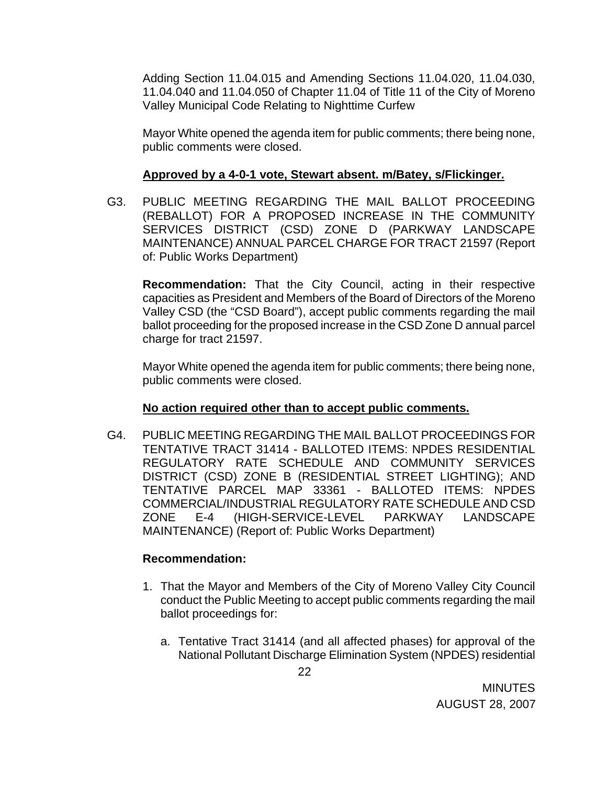Adding Section 11.04.015 and Amending Sections 11.04.020, 11.04.030, 11.04.040 and 11.04.050 of Chapter 11.04 of Title 11 of the City of Moreno Valley Municipal Code Relating to Nighttime Curfew

Mayor White opened the agenda item for public comments; there being none, public comments were closed.

### **Approved by a 4-0-1 vote, Stewart absent. m/Batey, s/Flickinger.**

G3. PUBLIC MEETING REGARDING THE MAIL BALLOT PROCEEDING (REBALLOT) FOR A PROPOSED INCREASE IN THE COMMUNITY SERVICES DISTRICT (CSD) ZONE D (PARKWAY LANDSCAPE MAINTENANCE) ANNUAL PARCEL CHARGE FOR TRACT 21597 (Report of: Public Works Department)

**Recommendation:** That the City Council, acting in their respective capacities as President and Members of the Board of Directors of the Moreno Valley CSD (the "CSD Board"), accept public comments regarding the mail ballot proceeding for the proposed increase in the CSD Zone D annual parcel charge for tract 21597.

 Mayor White opened the agenda item for public comments; there being none, public comments were closed.

# **No action required other than to accept public comments.**

G4. PUBLIC MEETING REGARDING THE MAIL BALLOT PROCEEDINGS FOR TENTATIVE TRACT 31414 - BALLOTED ITEMS: NPDES RESIDENTIAL REGULATORY RATE SCHEDULE AND COMMUNITY SERVICES DISTRICT (CSD) ZONE B (RESIDENTIAL STREET LIGHTING); AND TENTATIVE PARCEL MAP 33361 - BALLOTED ITEMS: NPDES COMMERCIAL/INDUSTRIAL REGULATORY RATE SCHEDULE AND CSD ZONE E-4 (HIGH-SERVICE-LEVEL PARKWAY LANDSCAPE MAINTENANCE) (Report of: Public Works Department)

- 1. That the Mayor and Members of the City of Moreno Valley City Council conduct the Public Meeting to accept public comments regarding the mail ballot proceedings for:
	- a. Tentative Tract 31414 (and all affected phases) for approval of the National Pollutant Discharge Elimination System (NPDES) residential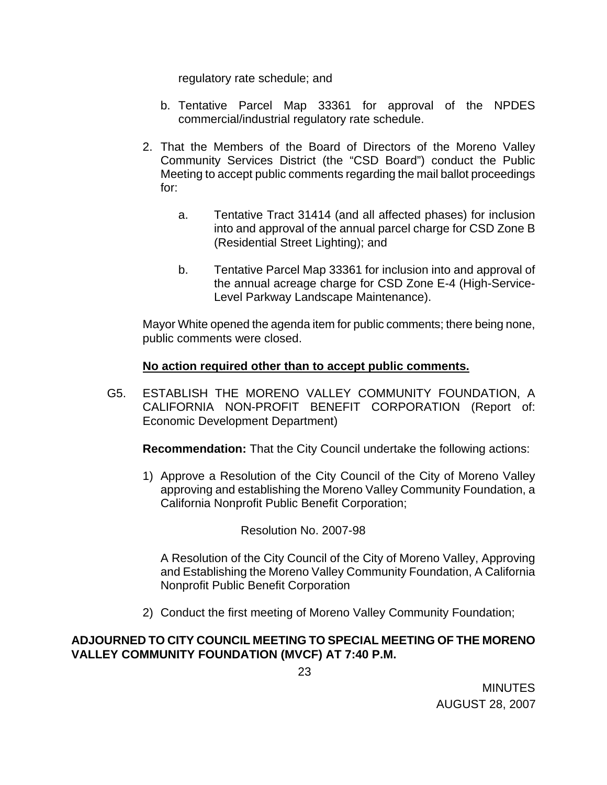regulatory rate schedule; and

- b. Tentative Parcel Map 33361 for approval of the NPDES commercial/industrial regulatory rate schedule.
- 2. That the Members of the Board of Directors of the Moreno Valley Community Services District (the "CSD Board") conduct the Public Meeting to accept public comments regarding the mail ballot proceedings for:
	- a. Tentative Tract 31414 (and all affected phases) for inclusion into and approval of the annual parcel charge for CSD Zone B (Residential Street Lighting); and
	- b. Tentative Parcel Map 33361 for inclusion into and approval of the annual acreage charge for CSD Zone E-4 (High-Service-Level Parkway Landscape Maintenance).

Mayor White opened the agenda item for public comments; there being none, public comments were closed.

## **No action required other than to accept public comments.**

G5. ESTABLISH THE MORENO VALLEY COMMUNITY FOUNDATION, A CALIFORNIA NON-PROFIT BENEFIT CORPORATION (Report of: Economic Development Department)

**Recommendation:** That the City Council undertake the following actions:

1) Approve a Resolution of the City Council of the City of Moreno Valley approving and establishing the Moreno Valley Community Foundation, a California Nonprofit Public Benefit Corporation;

Resolution No. 2007-98

A Resolution of the City Council of the City of Moreno Valley, Approving and Establishing the Moreno Valley Community Foundation, A California Nonprofit Public Benefit Corporation

2) Conduct the first meeting of Moreno Valley Community Foundation;

## **ADJOURNED TO CITY COUNCIL MEETING TO SPECIAL MEETING OF THE MORENO VALLEY COMMUNITY FOUNDATION (MVCF) AT 7:40 P.M.**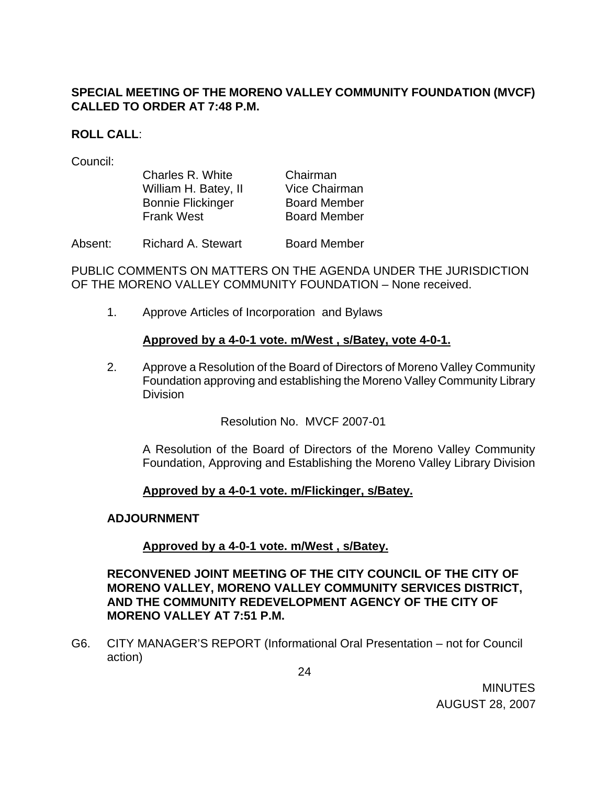# **SPECIAL MEETING OF THE MORENO VALLEY COMMUNITY FOUNDATION (MVCF) CALLED TO ORDER AT 7:48 P.M.**

### **ROLL CALL**:

Council:

| Charles R. White         | Chairman            |
|--------------------------|---------------------|
| William H. Batey, II     | Vice Chairman       |
| <b>Bonnie Flickinger</b> | <b>Board Member</b> |
| <b>Frank West</b>        | <b>Board Member</b> |
|                          |                     |

Absent: Richard A. Stewart Board Member

PUBLIC COMMENTS ON MATTERS ON THE AGENDA UNDER THE JURISDICTION OF THE MORENO VALLEY COMMUNITY FOUNDATION – None received.

1. Approve Articles of Incorporation and Bylaws

## **Approved by a 4-0-1 vote. m/West , s/Batey, vote 4-0-1.**

2. Approve a Resolution of the Board of Directors of Moreno Valley Community Foundation approving and establishing the Moreno Valley Community Library Division

Resolution No. MVCF 2007-01

A Resolution of the Board of Directors of the Moreno Valley Community Foundation, Approving and Establishing the Moreno Valley Library Division

### **Approved by a 4-0-1 vote. m/Flickinger, s/Batey.**

### **ADJOURNMENT**

# **Approved by a 4-0-1 vote. m/West , s/Batey.**

### **RECONVENED JOINT MEETING OF THE CITY COUNCIL OF THE CITY OF MORENO VALLEY, MORENO VALLEY COMMUNITY SERVICES DISTRICT, AND THE COMMUNITY REDEVELOPMENT AGENCY OF THE CITY OF MORENO VALLEY AT 7:51 P.M.**

G6. CITY MANAGER'S REPORT (Informational Oral Presentation – not for Council action)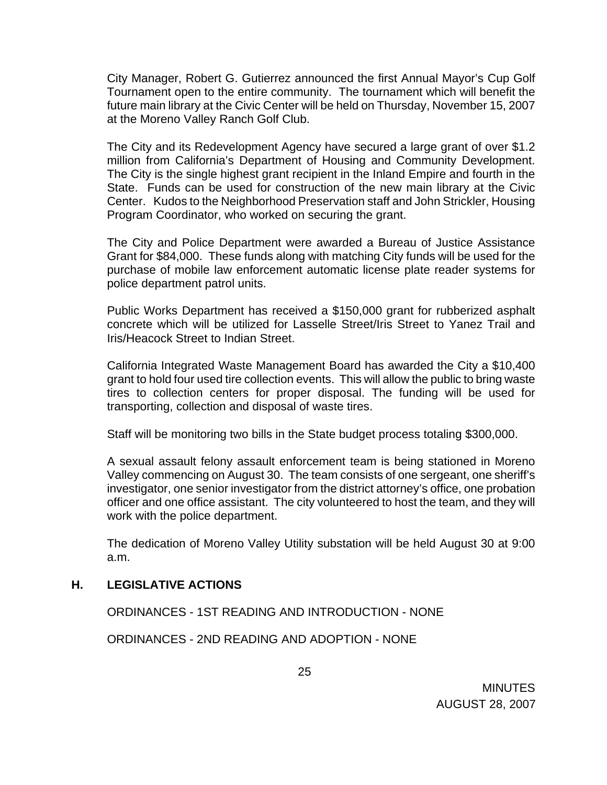City Manager, Robert G. Gutierrez announced the first Annual Mayor's Cup Golf Tournament open to the entire community. The tournament which will benefit the future main library at the Civic Center will be held on Thursday, November 15, 2007 at the Moreno Valley Ranch Golf Club.

 The City and its Redevelopment Agency have secured a large grant of over \$1.2 million from California's Department of Housing and Community Development. The City is the single highest grant recipient in the Inland Empire and fourth in the State. Funds can be used for construction of the new main library at the Civic Center. Kudos to the Neighborhood Preservation staff and John Strickler, Housing Program Coordinator, who worked on securing the grant.

 The City and Police Department were awarded a Bureau of Justice Assistance Grant for \$84,000. These funds along with matching City funds will be used for the purchase of mobile law enforcement automatic license plate reader systems for police department patrol units.

 Public Works Department has received a \$150,000 grant for rubberized asphalt concrete which will be utilized for Lasselle Street/Iris Street to Yanez Trail and Iris/Heacock Street to Indian Street.

 California Integrated Waste Management Board has awarded the City a \$10,400 grant to hold four used tire collection events. This will allow the public to bring waste tires to collection centers for proper disposal. The funding will be used for transporting, collection and disposal of waste tires.

Staff will be monitoring two bills in the State budget process totaling \$300,000.

 A sexual assault felony assault enforcement team is being stationed in Moreno Valley commencing on August 30. The team consists of one sergeant, one sheriff's investigator, one senior investigator from the district attorney's office, one probation officer and one office assistant. The city volunteered to host the team, and they will work with the police department.

 The dedication of Moreno Valley Utility substation will be held August 30 at 9:00 a.m.

### **H. LEGISLATIVE ACTIONS**

ORDINANCES - 1ST READING AND INTRODUCTION - NONE

ORDINANCES - 2ND READING AND ADOPTION - NONE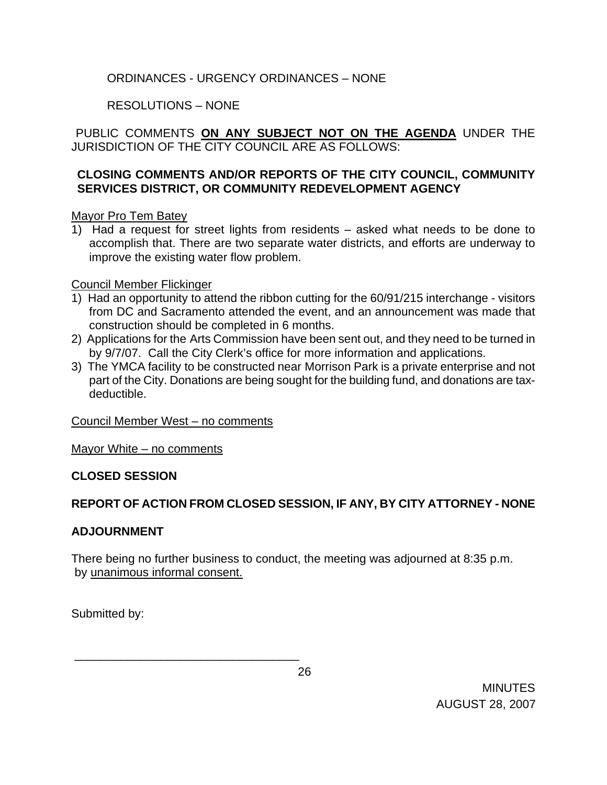# ORDINANCES - URGENCY ORDINANCES – NONE

# RESOLUTIONS – NONE

PUBLIC COMMENTS **ON ANY SUBJECT NOT ON THE AGENDA** UNDER THE JURISDICTION OF THE CITY COUNCIL ARE AS FOLLOWS:

## **CLOSING COMMENTS AND/OR REPORTS OF THE CITY COUNCIL, COMMUNITY SERVICES DISTRICT, OR COMMUNITY REDEVELOPMENT AGENCY**

## Mayor Pro Tem Batey

1) Had a request for street lights from residents – asked what needs to be done to accomplish that. There are two separate water districts, and efforts are underway to improve the existing water flow problem.

## Council Member Flickinger

- 1) Had an opportunity to attend the ribbon cutting for the 60/91/215 interchange visitors from DC and Sacramento attended the event, and an announcement was made that construction should be completed in 6 months.
- 2) Applications for the Arts Commission have been sent out, and they need to be turned in by 9/7/07. Call the City Clerk's office for more information and applications.
- 3) The YMCA facility to be constructed near Morrison Park is a private enterprise and not part of the City. Donations are being sought for the building fund, and donations are taxdeductible.

# Council Member West – no comments

\_\_\_\_\_\_\_\_\_\_\_\_\_\_\_\_\_\_\_\_\_\_\_\_\_\_\_\_\_\_\_\_\_\_

Mayor White – no comments

# **CLOSED SESSION**

# **REPORT OF ACTION FROM CLOSED SESSION, IF ANY, BY CITY ATTORNEY - NONE**

### **ADJOURNMENT**

There being no further business to conduct, the meeting was adjourned at 8:35 p.m. by unanimous informal consent.

Submitted by:

<u>26 and 26</u>